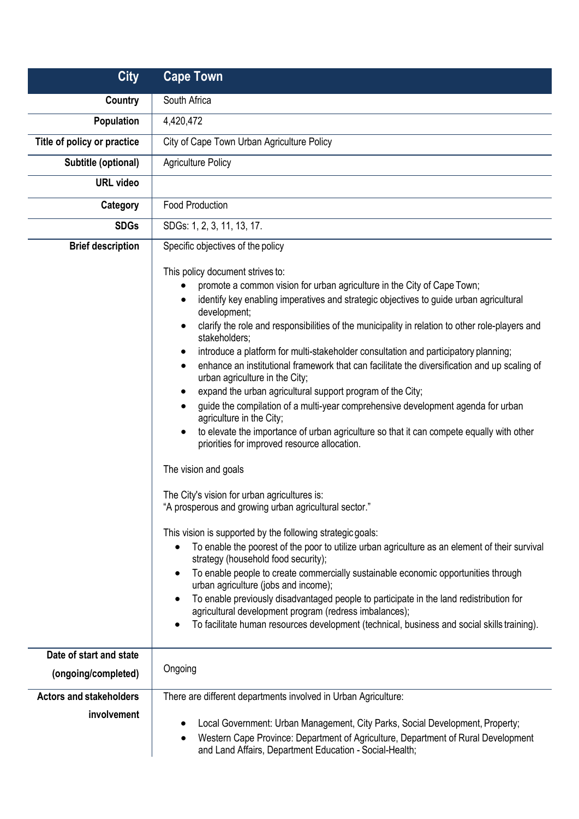| <b>City</b>                    | <b>Cape Town</b>                                                                                                                                                                                                                                                                                                                                                                                                                                                                                                                                                                                                                                                                                                                                                                                                                                                                                                                                                                                                                                                                                                                                                                                                                                                                                                                                                                                                                                                                                                                                                                                                                                                                   |
|--------------------------------|------------------------------------------------------------------------------------------------------------------------------------------------------------------------------------------------------------------------------------------------------------------------------------------------------------------------------------------------------------------------------------------------------------------------------------------------------------------------------------------------------------------------------------------------------------------------------------------------------------------------------------------------------------------------------------------------------------------------------------------------------------------------------------------------------------------------------------------------------------------------------------------------------------------------------------------------------------------------------------------------------------------------------------------------------------------------------------------------------------------------------------------------------------------------------------------------------------------------------------------------------------------------------------------------------------------------------------------------------------------------------------------------------------------------------------------------------------------------------------------------------------------------------------------------------------------------------------------------------------------------------------------------------------------------------------|
| Country                        | South Africa                                                                                                                                                                                                                                                                                                                                                                                                                                                                                                                                                                                                                                                                                                                                                                                                                                                                                                                                                                                                                                                                                                                                                                                                                                                                                                                                                                                                                                                                                                                                                                                                                                                                       |
| Population                     | 4,420,472                                                                                                                                                                                                                                                                                                                                                                                                                                                                                                                                                                                                                                                                                                                                                                                                                                                                                                                                                                                                                                                                                                                                                                                                                                                                                                                                                                                                                                                                                                                                                                                                                                                                          |
| Title of policy or practice    | City of Cape Town Urban Agriculture Policy                                                                                                                                                                                                                                                                                                                                                                                                                                                                                                                                                                                                                                                                                                                                                                                                                                                                                                                                                                                                                                                                                                                                                                                                                                                                                                                                                                                                                                                                                                                                                                                                                                         |
| Subtitle (optional)            | <b>Agriculture Policy</b>                                                                                                                                                                                                                                                                                                                                                                                                                                                                                                                                                                                                                                                                                                                                                                                                                                                                                                                                                                                                                                                                                                                                                                                                                                                                                                                                                                                                                                                                                                                                                                                                                                                          |
| <b>URL</b> video               |                                                                                                                                                                                                                                                                                                                                                                                                                                                                                                                                                                                                                                                                                                                                                                                                                                                                                                                                                                                                                                                                                                                                                                                                                                                                                                                                                                                                                                                                                                                                                                                                                                                                                    |
| Category                       | <b>Food Production</b>                                                                                                                                                                                                                                                                                                                                                                                                                                                                                                                                                                                                                                                                                                                                                                                                                                                                                                                                                                                                                                                                                                                                                                                                                                                                                                                                                                                                                                                                                                                                                                                                                                                             |
| <b>SDGs</b>                    | SDGs: 1, 2, 3, 11, 13, 17.                                                                                                                                                                                                                                                                                                                                                                                                                                                                                                                                                                                                                                                                                                                                                                                                                                                                                                                                                                                                                                                                                                                                                                                                                                                                                                                                                                                                                                                                                                                                                                                                                                                         |
| <b>Brief description</b>       | Specific objectives of the policy<br>This policy document strives to:                                                                                                                                                                                                                                                                                                                                                                                                                                                                                                                                                                                                                                                                                                                                                                                                                                                                                                                                                                                                                                                                                                                                                                                                                                                                                                                                                                                                                                                                                                                                                                                                              |
|                                | promote a common vision for urban agriculture in the City of Cape Town;<br>$\bullet$<br>identify key enabling imperatives and strategic objectives to guide urban agricultural<br>$\bullet$<br>development;<br>clarify the role and responsibilities of the municipality in relation to other role-players and<br>٠<br>stakeholders;<br>introduce a platform for multi-stakeholder consultation and participatory planning;<br>enhance an institutional framework that can facilitate the diversification and up scaling of<br>$\bullet$<br>urban agriculture in the City;<br>expand the urban agricultural support program of the City;<br>guide the compilation of a multi-year comprehensive development agenda for urban<br>agriculture in the City;<br>to elevate the importance of urban agriculture so that it can compete equally with other<br>priorities for improved resource allocation.<br>The vision and goals<br>The City's vision for urban agricultures is:<br>"A prosperous and growing urban agricultural sector."<br>This vision is supported by the following strategic goals:<br>To enable the poorest of the poor to utilize urban agriculture as an element of their survival<br>$\bullet$<br>strategy (household food security);<br>To enable people to create commercially sustainable economic opportunities through<br>$\bullet$<br>urban agriculture (jobs and income);<br>To enable previously disadvantaged people to participate in the land redistribution for<br>$\bullet$<br>agricultural development program (redress imbalances);<br>To facilitate human resources development (technical, business and social skills training).<br>$\bullet$ |
| Date of start and state        | Ongoing                                                                                                                                                                                                                                                                                                                                                                                                                                                                                                                                                                                                                                                                                                                                                                                                                                                                                                                                                                                                                                                                                                                                                                                                                                                                                                                                                                                                                                                                                                                                                                                                                                                                            |
| (ongoing/completed)            |                                                                                                                                                                                                                                                                                                                                                                                                                                                                                                                                                                                                                                                                                                                                                                                                                                                                                                                                                                                                                                                                                                                                                                                                                                                                                                                                                                                                                                                                                                                                                                                                                                                                                    |
| <b>Actors and stakeholders</b> | There are different departments involved in Urban Agriculture:                                                                                                                                                                                                                                                                                                                                                                                                                                                                                                                                                                                                                                                                                                                                                                                                                                                                                                                                                                                                                                                                                                                                                                                                                                                                                                                                                                                                                                                                                                                                                                                                                     |
| involvement                    | Local Government: Urban Management, City Parks, Social Development, Property;<br>Western Cape Province: Department of Agriculture, Department of Rural Development<br>٠<br>and Land Affairs, Department Education - Social-Health;                                                                                                                                                                                                                                                                                                                                                                                                                                                                                                                                                                                                                                                                                                                                                                                                                                                                                                                                                                                                                                                                                                                                                                                                                                                                                                                                                                                                                                                 |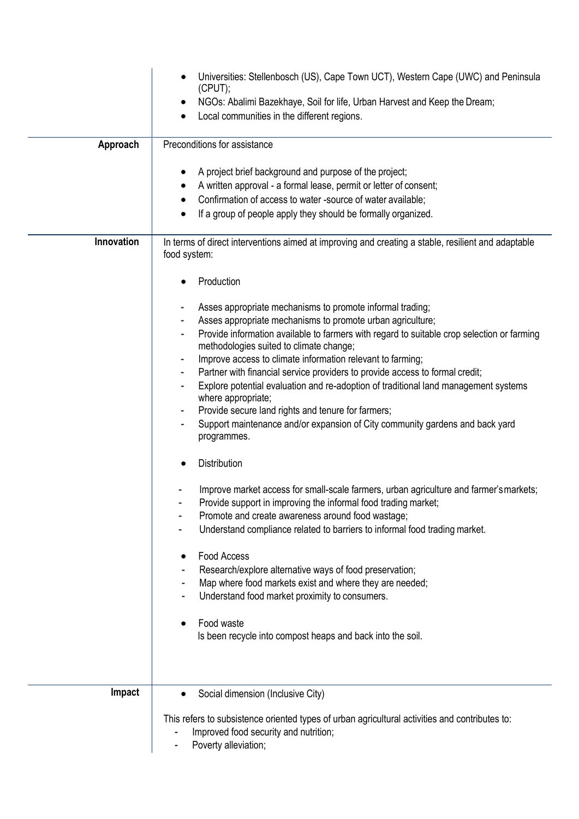|            | Universities: Stellenbosch (US), Cape Town UCT), Western Cape (UWC) and Peninsula<br>(CPUT);<br>NGOs: Abalimi Bazekhaye, Soil for life, Urban Harvest and Keep the Dream;<br>Local communities in the different regions.                                                                                                                                                                                                                                                                                                                                                                                                                                                                                                                                                                                                                                                                                                                                                                                                                                                                                                                                                                                                                                                                                                                                                                               |
|------------|--------------------------------------------------------------------------------------------------------------------------------------------------------------------------------------------------------------------------------------------------------------------------------------------------------------------------------------------------------------------------------------------------------------------------------------------------------------------------------------------------------------------------------------------------------------------------------------------------------------------------------------------------------------------------------------------------------------------------------------------------------------------------------------------------------------------------------------------------------------------------------------------------------------------------------------------------------------------------------------------------------------------------------------------------------------------------------------------------------------------------------------------------------------------------------------------------------------------------------------------------------------------------------------------------------------------------------------------------------------------------------------------------------|
| Approach   | Preconditions for assistance<br>A project brief background and purpose of the project;<br>A written approval - a formal lease, permit or letter of consent;<br>Confirmation of access to water -source of water available;<br>If a group of people apply they should be formally organized.<br>$\bullet$                                                                                                                                                                                                                                                                                                                                                                                                                                                                                                                                                                                                                                                                                                                                                                                                                                                                                                                                                                                                                                                                                               |
| Innovation | In terms of direct interventions aimed at improving and creating a stable, resilient and adaptable<br>food system:<br>Production<br>Asses appropriate mechanisms to promote informal trading;<br>Asses appropriate mechanisms to promote urban agriculture;<br>Provide information available to farmers with regard to suitable crop selection or farming<br>methodologies suited to climate change;<br>Improve access to climate information relevant to farming;<br>Partner with financial service providers to provide access to formal credit;<br>Explore potential evaluation and re-adoption of traditional land management systems<br>where appropriate;<br>Provide secure land rights and tenure for farmers;<br>Support maintenance and/or expansion of City community gardens and back yard<br>programmes.<br>Distribution<br>Improve market access for small-scale farmers, urban agriculture and farmer's markets;<br>Provide support in improving the informal food trading market;<br>Promote and create awareness around food wastage;<br>Understand compliance related to barriers to informal food trading market.<br>Food Access<br>Research/explore alternative ways of food preservation;<br>Map where food markets exist and where they are needed;<br>Understand food market proximity to consumers.<br>Food waste<br>Is been recycle into compost heaps and back into the soil. |
| Impact     | Social dimension (Inclusive City)<br>This refers to subsistence oriented types of urban agricultural activities and contributes to:<br>Improved food security and nutrition;<br>Poverty alleviation;                                                                                                                                                                                                                                                                                                                                                                                                                                                                                                                                                                                                                                                                                                                                                                                                                                                                                                                                                                                                                                                                                                                                                                                                   |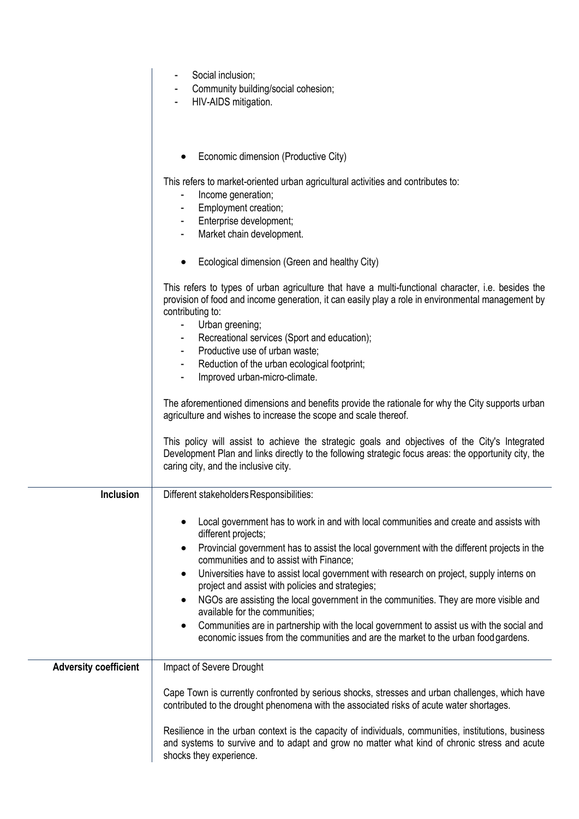|                              | Social inclusion;<br>Community building/social cohesion;<br>HIV-AIDS mitigation.                                                                                                                                                                |
|------------------------------|-------------------------------------------------------------------------------------------------------------------------------------------------------------------------------------------------------------------------------------------------|
|                              | Economic dimension (Productive City)                                                                                                                                                                                                            |
|                              | This refers to market-oriented urban agricultural activities and contributes to:<br>Income generation;<br>$\blacksquare$                                                                                                                        |
|                              | Employment creation;                                                                                                                                                                                                                            |
|                              | Enterprise development;<br>$\blacksquare$                                                                                                                                                                                                       |
|                              | Market chain development.<br>$\blacksquare$                                                                                                                                                                                                     |
|                              | Ecological dimension (Green and healthy City)                                                                                                                                                                                                   |
|                              | This refers to types of urban agriculture that have a multi-functional character, i.e. besides the<br>provision of food and income generation, it can easily play a role in environmental management by<br>contributing to:                     |
|                              | Urban greening;<br>$\blacksquare$                                                                                                                                                                                                               |
|                              | Recreational services (Sport and education);<br>٠<br>Productive use of urban waste;                                                                                                                                                             |
|                              | ٠<br>Reduction of the urban ecological footprint;<br>٠                                                                                                                                                                                          |
|                              | Improved urban-micro-climate.                                                                                                                                                                                                                   |
|                              | The aforementioned dimensions and benefits provide the rationale for why the City supports urban<br>agriculture and wishes to increase the scope and scale thereof.                                                                             |
|                              | This policy will assist to achieve the strategic goals and objectives of the City's Integrated<br>Development Plan and links directly to the following strategic focus areas: the opportunity city, the<br>caring city, and the inclusive city. |
| Inclusion                    | Different stakeholders Responsibilities:                                                                                                                                                                                                        |
|                              | Local government has to work in and with local communities and create and assists with<br>different projects;                                                                                                                                   |
|                              | Provincial government has to assist the local government with the different projects in the<br>communities and to assist with Finance;                                                                                                          |
|                              | Universities have to assist local government with research on project, supply interns on<br>$\bullet$<br>project and assist with policies and strategies;                                                                                       |
|                              | NGOs are assisting the local government in the communities. They are more visible and<br>available for the communities:                                                                                                                         |
|                              | Communities are in partnership with the local government to assist us with the social and<br>economic issues from the communities and are the market to the urban food gardens.                                                                 |
| <b>Adversity coefficient</b> | Impact of Severe Drought                                                                                                                                                                                                                        |
|                              | Cape Town is currently confronted by serious shocks, stresses and urban challenges, which have<br>contributed to the drought phenomena with the associated risks of acute water shortages.                                                      |
|                              | Resilience in the urban context is the capacity of individuals, communities, institutions, business<br>and systems to survive and to adapt and grow no matter what kind of chronic stress and acute<br>shocks they experience.                  |